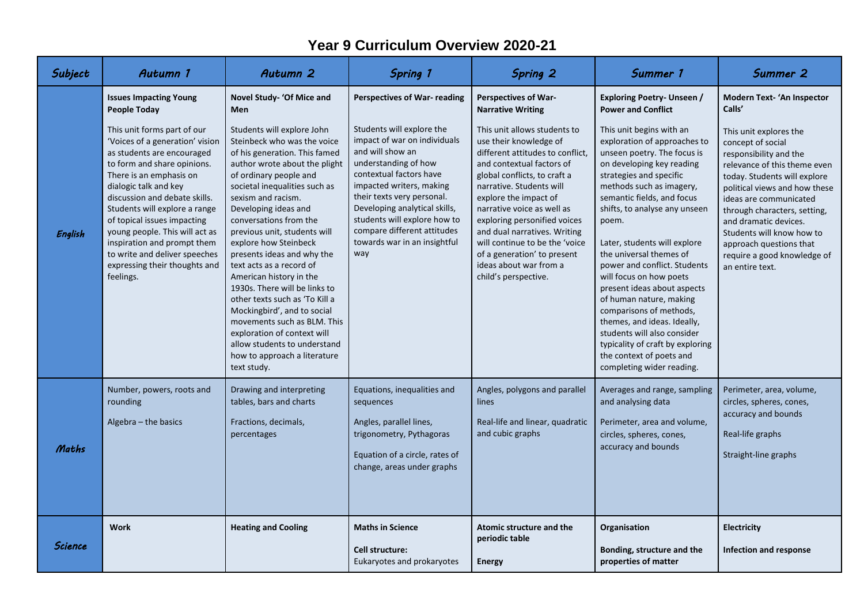## **Year 9 Curriculum Overview 2020-21**

| Subject | Autumn 1                                                                                                                                                                                                                                                                                                                                                                                                                         | Autumn 2                                                                                                                                                                                                                                                                                                                                                                                                                                                                                                                                                                                                                                                    | <b>Spring 1</b>                                                                                                                                                                                                                                                                                                                   | Spring 2                                                                                                                                                                                                                                                                                                                                                                                                                      | Summer 1                                                                                                                                                                                                                                                                                                                                                                                                                                                                                                                                                                                                                  | Summer 2                                                                                                                                                                                                                                                                                                                                                            |
|---------|----------------------------------------------------------------------------------------------------------------------------------------------------------------------------------------------------------------------------------------------------------------------------------------------------------------------------------------------------------------------------------------------------------------------------------|-------------------------------------------------------------------------------------------------------------------------------------------------------------------------------------------------------------------------------------------------------------------------------------------------------------------------------------------------------------------------------------------------------------------------------------------------------------------------------------------------------------------------------------------------------------------------------------------------------------------------------------------------------------|-----------------------------------------------------------------------------------------------------------------------------------------------------------------------------------------------------------------------------------------------------------------------------------------------------------------------------------|-------------------------------------------------------------------------------------------------------------------------------------------------------------------------------------------------------------------------------------------------------------------------------------------------------------------------------------------------------------------------------------------------------------------------------|---------------------------------------------------------------------------------------------------------------------------------------------------------------------------------------------------------------------------------------------------------------------------------------------------------------------------------------------------------------------------------------------------------------------------------------------------------------------------------------------------------------------------------------------------------------------------------------------------------------------------|---------------------------------------------------------------------------------------------------------------------------------------------------------------------------------------------------------------------------------------------------------------------------------------------------------------------------------------------------------------------|
|         | <b>Issues Impacting Young</b><br>People Today                                                                                                                                                                                                                                                                                                                                                                                    | Novel Study- 'Of Mice and<br><b>Men</b>                                                                                                                                                                                                                                                                                                                                                                                                                                                                                                                                                                                                                     | <b>Perspectives of War- reading</b>                                                                                                                                                                                                                                                                                               | <b>Perspectives of War-</b><br><b>Narrative Writing</b>                                                                                                                                                                                                                                                                                                                                                                       | <b>Exploring Poetry- Unseen /</b><br><b>Power and Conflict</b>                                                                                                                                                                                                                                                                                                                                                                                                                                                                                                                                                            | <b>Modern Text- 'An Inspector</b><br>Calls'                                                                                                                                                                                                                                                                                                                         |
| English | This unit forms part of our<br>'Voices of a generation' vision<br>as students are encouraged<br>to form and share opinions.<br>There is an emphasis on<br>dialogic talk and key<br>discussion and debate skills.<br>Students will explore a range<br>of topical issues impacting<br>young people. This will act as<br>inspiration and prompt them<br>to write and deliver speeches<br>expressing their thoughts and<br>feelings. | Students will explore John<br>Steinbeck who was the voice<br>of his generation. This famed<br>author wrote about the plight<br>of ordinary people and<br>societal inequalities such as<br>sexism and racism.<br>Developing ideas and<br>conversations from the<br>previous unit, students will<br>explore how Steinbeck<br>presents ideas and why the<br>text acts as a record of<br>American history in the<br>1930s. There will be links to<br>other texts such as 'To Kill a<br>Mockingbird', and to social<br>movements such as BLM. This<br>exploration of context will<br>allow students to understand<br>how to approach a literature<br>text study. | Students will explore the<br>impact of war on individuals<br>and will show an<br>understanding of how<br>contextual factors have<br>impacted writers, making<br>their texts very personal.<br>Developing analytical skills,<br>students will explore how to<br>compare different attitudes<br>towards war in an insightful<br>way | This unit allows students to<br>use their knowledge of<br>different attitudes to conflict,<br>and contextual factors of<br>global conflicts, to craft a<br>narrative. Students will<br>explore the impact of<br>narrative voice as well as<br>exploring personified voices<br>and dual narratives. Writing<br>will continue to be the 'voice<br>of a generation' to present<br>ideas about war from a<br>child's perspective. | This unit begins with an<br>exploration of approaches to<br>unseen poetry. The focus is<br>on developing key reading<br>strategies and specific<br>methods such as imagery,<br>semantic fields, and focus<br>shifts, to analyse any unseen<br>poem.<br>Later, students will explore<br>the universal themes of<br>power and conflict. Students<br>will focus on how poets<br>present ideas about aspects<br>of human nature, making<br>comparisons of methods,<br>themes, and ideas. Ideally,<br>students will also consider<br>typicality of craft by exploring<br>the context of poets and<br>completing wider reading. | This unit explores the<br>concept of social<br>responsibility and the<br>relevance of this theme even<br>today. Students will explore<br>political views and how these<br>ideas are communicated<br>through characters, setting,<br>and dramatic devices.<br>Students will know how to<br>approach questions that<br>require a good knowledge of<br>an entire text. |
| Maths   | Number, powers, roots and<br>rounding<br>Algebra - the basics                                                                                                                                                                                                                                                                                                                                                                    | Drawing and interpreting<br>tables, bars and charts<br>Fractions, decimals,<br>percentages                                                                                                                                                                                                                                                                                                                                                                                                                                                                                                                                                                  | Equations, inequalities and<br>sequences<br>Angles, parallel lines,<br>trigonometry, Pythagoras<br>Equation of a circle, rates of<br>change, areas under graphs                                                                                                                                                                   | Angles, polygons and parallel<br>lines<br>Real-life and linear, quadratic<br>and cubic graphs                                                                                                                                                                                                                                                                                                                                 | Averages and range, sampling<br>and analysing data<br>Perimeter, area and volume,<br>circles, spheres, cones,<br>accuracy and bounds                                                                                                                                                                                                                                                                                                                                                                                                                                                                                      | Perimeter, area, volume,<br>circles, spheres, cones,<br>accuracy and bounds<br>Real-life graphs<br>Straight-line graphs                                                                                                                                                                                                                                             |
| Science | <b>Work</b>                                                                                                                                                                                                                                                                                                                                                                                                                      | <b>Heating and Cooling</b>                                                                                                                                                                                                                                                                                                                                                                                                                                                                                                                                                                                                                                  | <b>Maths in Science</b><br>Cell structure:<br>Eukaryotes and prokaryotes                                                                                                                                                                                                                                                          | <b>Atomic structure and the</b><br>periodic table<br><b>Energy</b>                                                                                                                                                                                                                                                                                                                                                            | Organisation<br>Bonding, structure and the<br>properties of matter                                                                                                                                                                                                                                                                                                                                                                                                                                                                                                                                                        | <b>Electricity</b><br><b>Infection and response</b>                                                                                                                                                                                                                                                                                                                 |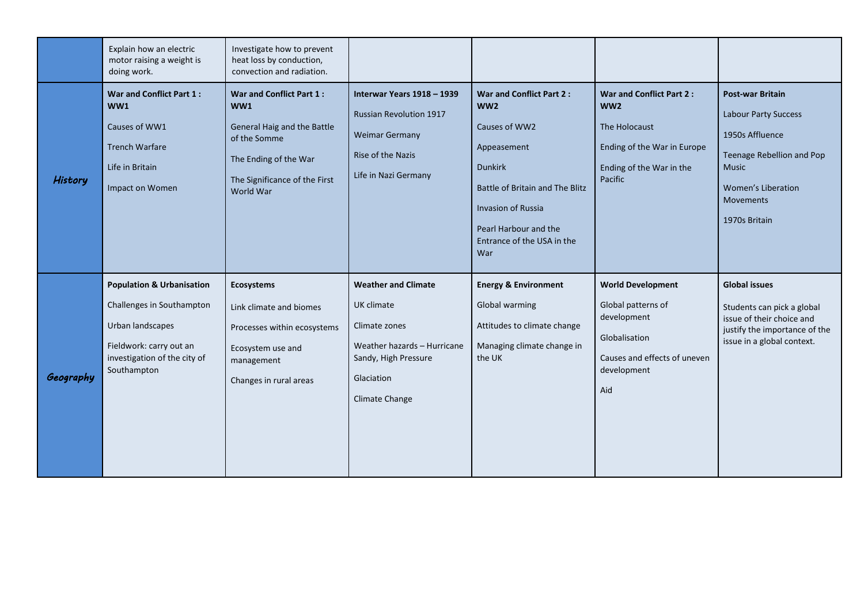|           | Explain how an electric<br>motor raising a weight is<br>doing work.                                                                                             | Investigate how to prevent<br>heat loss by conduction,<br>convection and radiation.                                                                   |                                                                                                                                                  |                                                                                                                                                                                                                             |                                                                                                                                      |                                                                                                                                                                            |
|-----------|-----------------------------------------------------------------------------------------------------------------------------------------------------------------|-------------------------------------------------------------------------------------------------------------------------------------------------------|--------------------------------------------------------------------------------------------------------------------------------------------------|-----------------------------------------------------------------------------------------------------------------------------------------------------------------------------------------------------------------------------|--------------------------------------------------------------------------------------------------------------------------------------|----------------------------------------------------------------------------------------------------------------------------------------------------------------------------|
| History   | War and Conflict Part 1:<br>WW1<br>Causes of WW1<br><b>Trench Warfare</b><br>Life in Britain<br>Impact on Women                                                 | War and Conflict Part 1:<br>WW1<br>General Haig and the Battle<br>of the Somme<br>The Ending of the War<br>The Significance of the First<br>World War | Interwar Years 1918 - 1939<br><b>Russian Revolution 1917</b><br><b>Weimar Germany</b><br>Rise of the Nazis<br>Life in Nazi Germany               | War and Conflict Part 2:<br>WW <sub>2</sub><br>Causes of WW2<br>Appeasement<br><b>Dunkirk</b><br>Battle of Britain and The Blitz<br><b>Invasion of Russia</b><br>Pearl Harbour and the<br>Entrance of the USA in the<br>War | War and Conflict Part 2:<br>WW <sub>2</sub><br>The Holocaust<br>Ending of the War in Europe<br>Ending of the War in the<br>Pacific   | <b>Post-war Britain</b><br>Labour Party Success<br>1950s Affluence<br>Teenage Rebellion and Pop<br><b>Music</b><br><b>Women's Liberation</b><br>Movements<br>1970s Britain |
| Geography | <b>Population &amp; Urbanisation</b><br>Challenges in Southampton<br>Urban landscapes<br>Fieldwork: carry out an<br>investigation of the city of<br>Southampton | <b>Ecosystems</b><br>Link climate and biomes<br>Processes within ecosystems<br>Ecosystem use and<br>management<br>Changes in rural areas              | <b>Weather and Climate</b><br>UK climate<br>Climate zones<br>Weather hazards - Hurricane<br>Sandy, High Pressure<br>Glaciation<br>Climate Change | <b>Energy &amp; Environment</b><br>Global warming<br>Attitudes to climate change<br>Managing climate change in<br>the UK                                                                                                    | <b>World Development</b><br>Global patterns of<br>development<br>Globalisation<br>Causes and effects of uneven<br>development<br>Aid | <b>Global issues</b><br>Students can pick a global<br>issue of their choice and<br>justify the importance of the<br>issue in a global context.                             |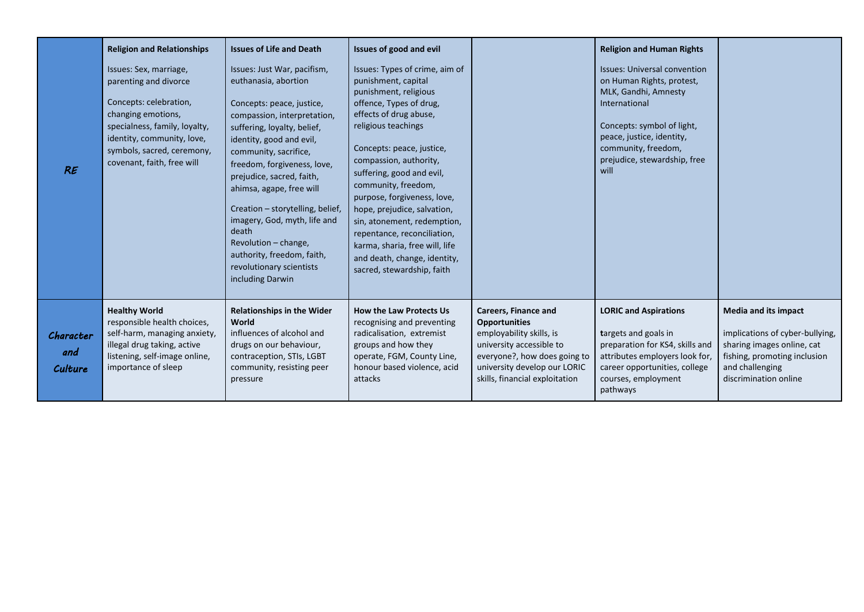| RE                          | <b>Religion and Relationships</b><br>Issues: Sex, marriage,<br>parenting and divorce<br>Concepts: celebration,<br>changing emotions,<br>specialness, family, loyalty,<br>identity, community, love,<br>symbols, sacred, ceremony,<br>covenant, faith, free will | <b>Issues of Life and Death</b><br>Issues: Just War, pacifism,<br>euthanasia, abortion<br>Concepts: peace, justice,<br>compassion, interpretation,<br>suffering, loyalty, belief,<br>identity, good and evil,<br>community, sacrifice,<br>freedom, forgiveness, love,<br>prejudice, sacred, faith,<br>ahimsa, agape, free will<br>Creation - storytelling, belief,<br>imagery, God, myth, life and<br>death<br>Revolution - change,<br>authority, freedom, faith,<br>revolutionary scientists<br>including Darwin | Issues of good and evil<br>Issues: Types of crime, aim of<br>punishment, capital<br>punishment, religious<br>offence, Types of drug,<br>effects of drug abuse,<br>religious teachings<br>Concepts: peace, justice,<br>compassion, authority,<br>suffering, good and evil,<br>community, freedom,<br>purpose, forgiveness, love,<br>hope, prejudice, salvation,<br>sin, atonement, redemption,<br>repentance, reconciliation,<br>karma, sharia, free will, life<br>and death, change, identity,<br>sacred, stewardship, faith |                                                                                                                                                                                                               | <b>Religion and Human Rights</b><br><b>Issues: Universal convention</b><br>on Human Rights, protest,<br>MLK, Gandhi, Amnesty<br>International<br>Concepts: symbol of light,<br>peace, justice, identity,<br>community, freedom,<br>prejudice, stewardship, free<br>will |                                                                                                                                                                          |
|-----------------------------|-----------------------------------------------------------------------------------------------------------------------------------------------------------------------------------------------------------------------------------------------------------------|-------------------------------------------------------------------------------------------------------------------------------------------------------------------------------------------------------------------------------------------------------------------------------------------------------------------------------------------------------------------------------------------------------------------------------------------------------------------------------------------------------------------|------------------------------------------------------------------------------------------------------------------------------------------------------------------------------------------------------------------------------------------------------------------------------------------------------------------------------------------------------------------------------------------------------------------------------------------------------------------------------------------------------------------------------|---------------------------------------------------------------------------------------------------------------------------------------------------------------------------------------------------------------|-------------------------------------------------------------------------------------------------------------------------------------------------------------------------------------------------------------------------------------------------------------------------|--------------------------------------------------------------------------------------------------------------------------------------------------------------------------|
| Character<br>and<br>Culture | <b>Healthy World</b><br>responsible health choices,<br>self-harm, managing anxiety,<br>illegal drug taking, active<br>listening, self-image online,<br>importance of sleep                                                                                      | <b>Relationships in the Wider</b><br>World<br>influences of alcohol and<br>drugs on our behaviour,<br>contraception, STIs, LGBT<br>community, resisting peer<br>pressure                                                                                                                                                                                                                                                                                                                                          | <b>How the Law Protects Us</b><br>recognising and preventing<br>radicalisation, extremist<br>groups and how they<br>operate, FGM, County Line,<br>honour based violence, acid<br>attacks                                                                                                                                                                                                                                                                                                                                     | <b>Careers, Finance and</b><br><b>Opportunities</b><br>employability skills, is<br>university accessible to<br>everyone?, how does going to<br>university develop our LORIC<br>skills, financial exploitation | <b>LORIC and Aspirations</b><br>targets and goals in<br>preparation for KS4, skills and<br>attributes employers look for,<br>career opportunities, college<br>courses, employment<br>pathways                                                                           | <b>Media and its impact</b><br>implications of cyber-bullying,<br>sharing images online, cat<br>fishing, promoting inclusion<br>and challenging<br>discrimination online |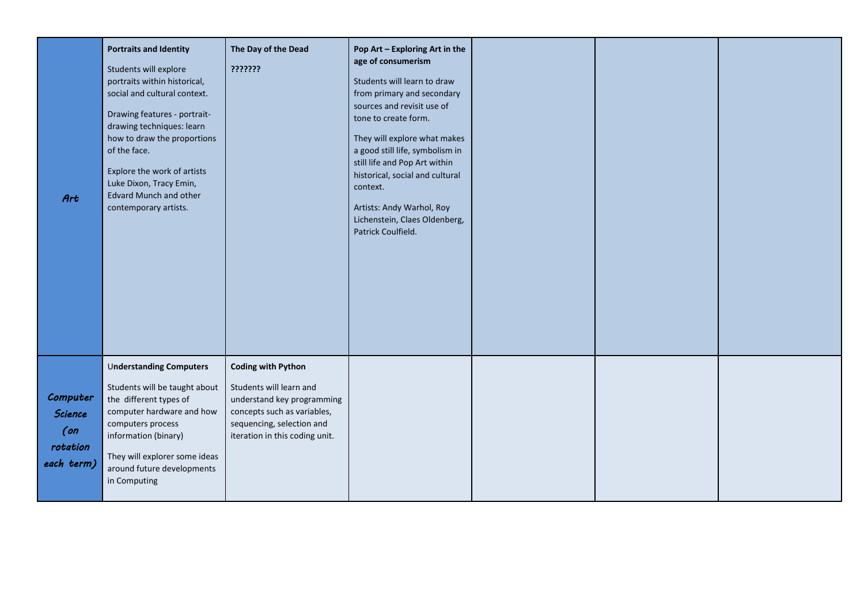| Art                                                            | <b>Portraits and Identity</b><br>Students will explore<br>portraits within historical,<br>social and cultural context.<br>Drawing features - portrait-<br>drawing techniques: learn<br>how to draw the proportions<br>of the face.<br>Explore the work of artists<br>Luke Dixon, Tracy Emin,<br><b>Edvard Munch and other</b><br>contemporary artists. | The Day of the Dead<br>???????                                                                                                                                                   | Pop Art - Exploring Art in the<br>age of consumerism<br>Students will learn to draw<br>from primary and secondary<br>sources and revisit use of<br>tone to create form.<br>They will explore what makes<br>a good still life, symbolism in<br>still life and Pop Art within<br>historical, social and cultural<br>context.<br>Artists: Andy Warhol, Roy<br>Lichenstein, Claes Oldenberg,<br>Patrick Coulfield. |  |  |
|----------------------------------------------------------------|--------------------------------------------------------------------------------------------------------------------------------------------------------------------------------------------------------------------------------------------------------------------------------------------------------------------------------------------------------|----------------------------------------------------------------------------------------------------------------------------------------------------------------------------------|----------------------------------------------------------------------------------------------------------------------------------------------------------------------------------------------------------------------------------------------------------------------------------------------------------------------------------------------------------------------------------------------------------------|--|--|
| Computer<br><b>Science</b><br>$($ on<br>rotation<br>each term) | <b>Understanding Computers</b><br>Students will be taught about<br>the different types of<br>computer hardware and how<br>computers process<br>information (binary)<br>They will explorer some ideas<br>around future developments<br>in Computing                                                                                                     | <b>Coding with Python</b><br>Students will learn and<br>understand key programming<br>concepts such as variables,<br>sequencing, selection and<br>iteration in this coding unit. |                                                                                                                                                                                                                                                                                                                                                                                                                |  |  |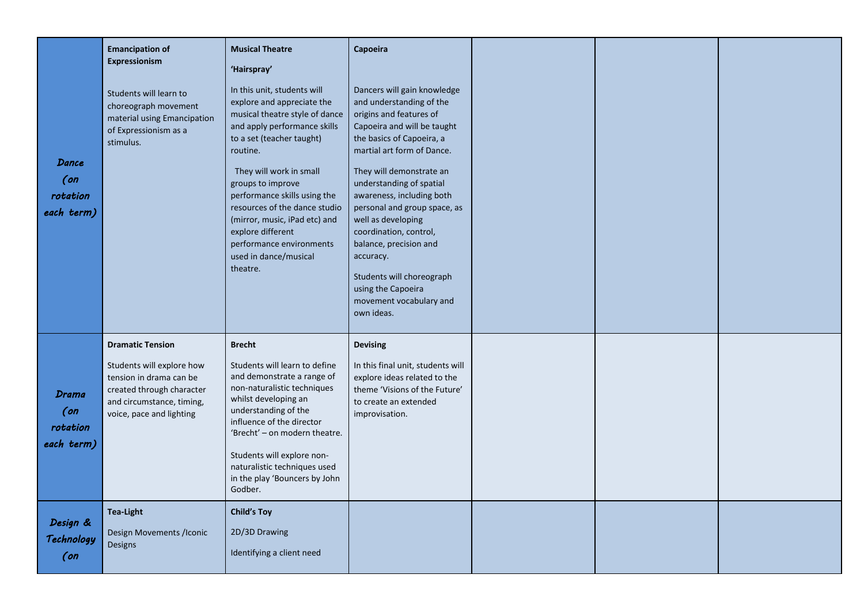| Dance<br>$($ on<br>rotation<br>each term)        | <b>Emancipation of</b><br>Expressionism<br>Students will learn to<br>choreograph movement<br>material using Emancipation<br>of Expressionism as a<br>stimulus.        | <b>Musical Theatre</b><br>'Hairspray'<br>In this unit, students will<br>explore and appreciate the<br>musical theatre style of dance<br>and apply performance skills<br>to a set (teacher taught)<br>routine.<br>They will work in small<br>groups to improve<br>performance skills using the<br>resources of the dance studio<br>(mirror, music, iPad etc) and<br>explore different<br>performance environments<br>used in dance/musical<br>theatre. | Capoeira<br>Dancers will gain knowledge<br>and understanding of the<br>origins and features of<br>Capoeira and will be taught<br>the basics of Capoeira, a<br>martial art form of Dance.<br>They will demonstrate an<br>understanding of spatial<br>awareness, including both<br>personal and group space, as<br>well as developing<br>coordination, control,<br>balance, precision and<br>accuracy.<br>Students will choreograph<br>using the Capoeira<br>movement vocabulary and<br>own ideas. |  |  |
|--------------------------------------------------|-----------------------------------------------------------------------------------------------------------------------------------------------------------------------|-------------------------------------------------------------------------------------------------------------------------------------------------------------------------------------------------------------------------------------------------------------------------------------------------------------------------------------------------------------------------------------------------------------------------------------------------------|--------------------------------------------------------------------------------------------------------------------------------------------------------------------------------------------------------------------------------------------------------------------------------------------------------------------------------------------------------------------------------------------------------------------------------------------------------------------------------------------------|--|--|
| <b>Drama</b><br>$($ on<br>rotation<br>each term) | <b>Dramatic Tension</b><br>Students will explore how<br>tension in drama can be<br>created through character<br>and circumstance, timing,<br>voice, pace and lighting | <b>Brecht</b><br>Students will learn to define<br>and demonstrate a range of<br>non-naturalistic techniques<br>whilst developing an<br>understanding of the<br>influence of the director<br>'Brecht' - on modern theatre.<br>Students will explore non-<br>naturalistic techniques used<br>in the play 'Bouncers by John<br>Godber.                                                                                                                   | <b>Devising</b><br>In this final unit, students will<br>explore ideas related to the<br>theme 'Visions of the Future'<br>to create an extended<br>improvisation.                                                                                                                                                                                                                                                                                                                                 |  |  |
| Design &<br>Technology<br>$($ on                 | <b>Tea-Light</b><br>Design Movements /Iconic<br>Designs                                                                                                               | <b>Child's Toy</b><br>2D/3D Drawing<br>Identifying a client need                                                                                                                                                                                                                                                                                                                                                                                      |                                                                                                                                                                                                                                                                                                                                                                                                                                                                                                  |  |  |